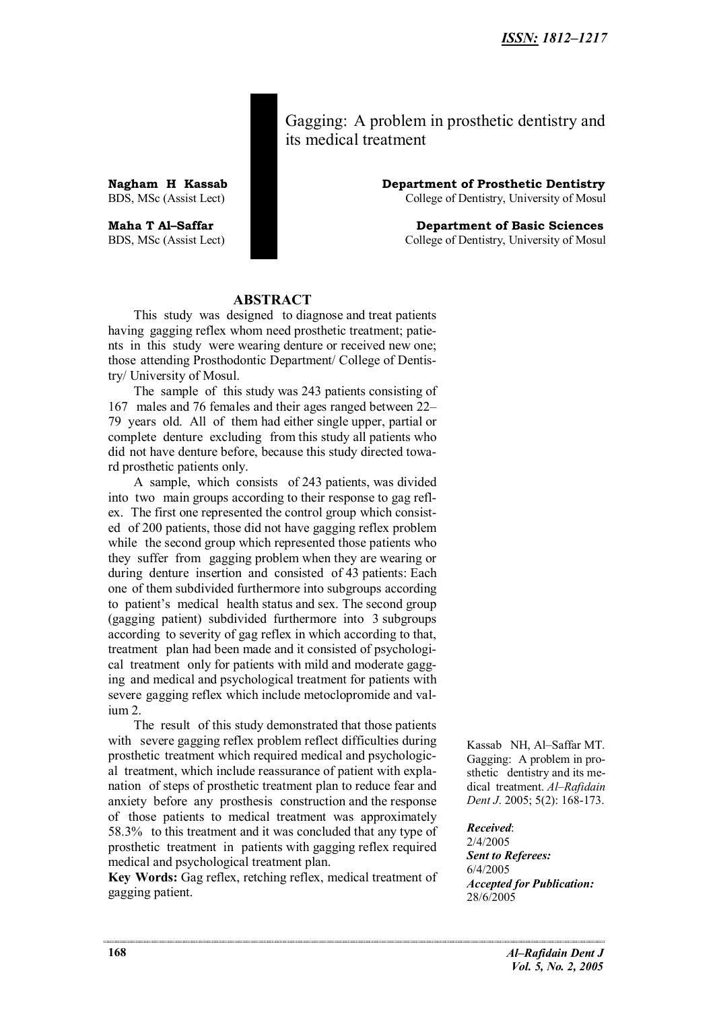Gagging: A problem in prosthetic dentistry and its medical treatment

**Nagham H Kassab Department of Prosthetic Dentistry** BDS, MSc (Assist Lect) **Dentistry, University of Mosul** College of Dentistry, University of Mosul

**Maha T Al–Saffar Department of Basic Sciences** BDS, MSc (Assist Lect) College of Dentistry, University of Mosul

#### **ABSTRACT**

This study was designed to diagnose and treat patients having gagging reflex whom need prosthetic treatment; patients in this study were wearing denture or received new one; those attending Prosthodontic Department/ College of Dentistry/ University of Mosul.

The sample of this study was 243 patients consisting of 167 males and 76 females and their ages ranged between 22– 79 years old. All of them had either single upper, partial or complete denture excluding from this study all patients who did not have denture before, because this study directed toward prosthetic patients only.

A sample, which consists of 243 patients, was divided into two main groups according to their response to gag reflex. The first one represented the control group which consisted of 200 patients, those did not have gagging reflex problem while the second group which represented those patients who they suffer from gagging problem when they are wearing or during denture insertion and consisted of 43 patients: Each one of them subdivided furthermore into subgroups according to patient's medical health status and sex. The second group (gagging patient) subdivided furthermore into 3 subgroups according to severity of gag reflex in which according to that, treatment plan had been made and it consisted of psychological treatment only for patients with mild and moderate gagging and medical and psychological treatment for patients with severe gagging reflex which include metoclopromide and valium 2.

The result of this study demonstrated that those patients with severe gagging reflex problem reflect difficulties during prosthetic treatment which required medical and psychological treatment, which include reassurance of patient with explanation of steps of prosthetic treatment plan to reduce fear and anxiety before any prosthesis construction and the response of those patients to medical treatment was approximately 58.3% to this treatment and it was concluded that any type of prosthetic treatment in patients with gagging reflex required medical and psychological treatment plan.

**Key Words:** Gag reflex, retching reflex, medical treatment of gagging patient.

Kassab NH, Al–Saffar MT. Gagging: A problem in prosthetic dentistry and its medical treatment. *Al–Rafidain Dent J*. 2005; 5(2): 168-173.

*Received*:

2/4/2005 *Sent to Referees:* 6/4/2005 *Accepted for Publication:* 28/6/2005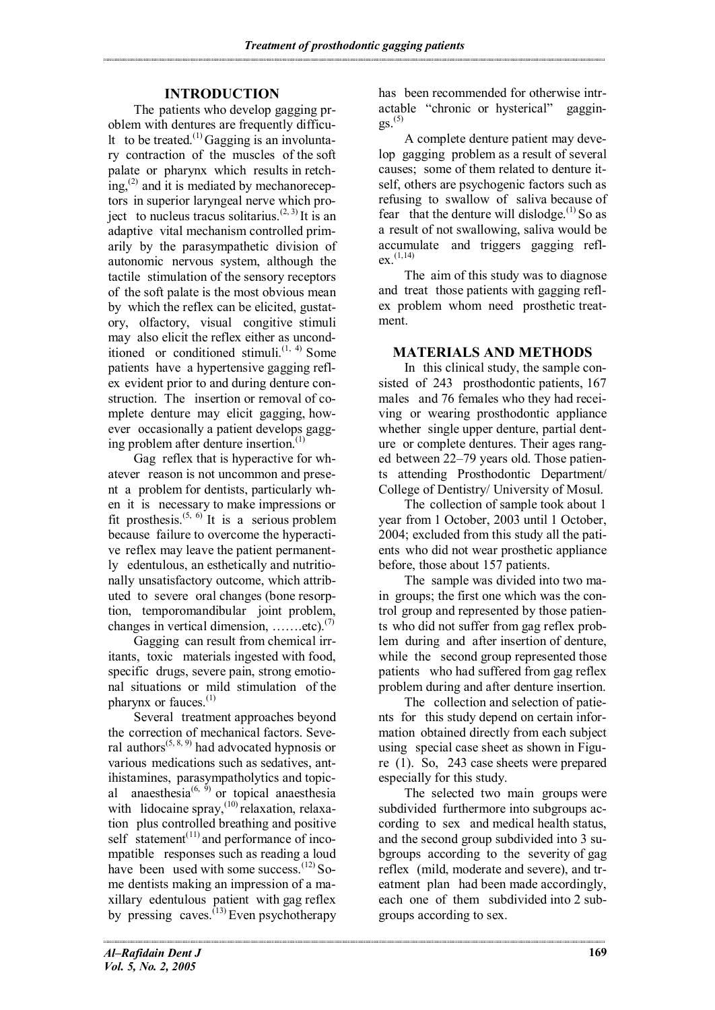# **INTRODUCTION**

The patients who develop gagging problem with dentures are frequently difficu-It to be treated.<sup>(1)</sup> Gagging is an involuntary contraction of the muscles of the soft palate or pharynx which results in retch $ing<sub>x</sub><sup>(2)</sup>$  and it is mediated by mechanoreceptors in superior laryngeal nerve which project to nucleus tracus solitarius.<sup> $(2, 3)$ </sup> It is an adaptive vital mechanism controlled primarily by the parasympathetic division of autonomic nervous system, although the tactile stimulation of the sensory receptors of the soft palate is the most obvious mean by which the reflex can be elicited, gustatory, olfactory, visual congitive stimuli may also elicit the reflex either as unconditioned or conditioned stimuli. $(1, 4)$  Some patients have a hypertensive gagging reflex evident prior to and during denture construction. The insertion or removal of complete denture may elicit gagging, however occasionally a patient develops gagging problem after denture insertion. $<sup>(1)</sup>$ </sup>

Gag reflex that is hyperactive for whatever reason is not uncommon and present a problem for dentists, particularly when it is necessary to make impressions or fit prosthesis.<sup> $(5, 6)$ </sup> It is a serious problem because failure to overcome the hyperactive reflex may leave the patient permanently edentulous, an esthetically and nutritionally unsatisfactory outcome, which attributed to severe oral changes (bone resorption, temporomandibular joint problem, changes in vertical dimension, ... ... etc).<sup>(7)</sup>

Gagging can result from chemical irritants, toxic materials ingested with food, specific drugs, severe pain, strong emotional situations or mild stimulation of the pharynx or fauces. $(1)$ 

Several treatment approaches beyond the correction of mechanical factors. Several authors<sup> $(5, 8, 9)$ </sup> had advocated hypnosis or various medications such as sedatives, antihistamines, parasympatholytics and topical anaesthesia $^{(6, 5)}$  or topical anaesthesia with lidocaine spray,  $(10)$  relaxation, relaxation plus controlled breathing and positive self statement $(11)$  and performance of incompatible responses such as reading a loud have been used with some success. $^{(12)}$  Some dentists making an impression of a maxillary edentulous patient with gag reflex by pressing caves.<sup> $(13)$ </sup> Even psychotherapy

has been recommended for otherwise intractable "chronic or hysterical" gaggin- $2S(5)$ 

A complete denture patient may develop gagging problem as a result of several causes; some of them related to denture itself, others are psychogenic factors such as refusing to swallow of saliva because of fear that the denture will dislodge.<sup>(1)</sup> So as a result of not swallowing, saliva would be accumulate and triggers gagging reflex. (1,14)

The aim of this study was to diagnose and treat those patients with gagging reflex problem whom need prosthetic treatment.

# **MATERIALS AND METHODS**

In this clinical study, the sample consisted of 243 prosthodontic patients, 167 males and 76 females who they had receiving or wearing prosthodontic appliance whether single upper denture, partial denture or complete dentures. Their ages ranged between 22–79 years old. Those patients attending Prosthodontic Department/ College of Dentistry/ University of Mosul.

The collection of sample took about 1 year from 1 October, 2003 until 1 October, 2004; excluded from this study all the patients who did not wear prosthetic appliance before, those about 157 patients.

The sample was divided into two main groups; the first one which was the control group and represented by those patients who did not suffer from gag reflex problem during and after insertion of denture, while the second group represented those patients who had suffered from gag reflex problem during and after denture insertion.

The collection and selection of patients for this study depend on certain information obtained directly from each subject using special case sheet as shown in Figure (1). So, 243 case sheets were prepared especially for this study.

The selected two main groups were subdivided furthermore into subgroups according to sex and medical health status, and the second group subdivided into 3 subgroups according to the severity of gag reflex (mild, moderate and severe), and treatment plan had been made accordingly, each one of them subdivided into 2 subgroups according to sex.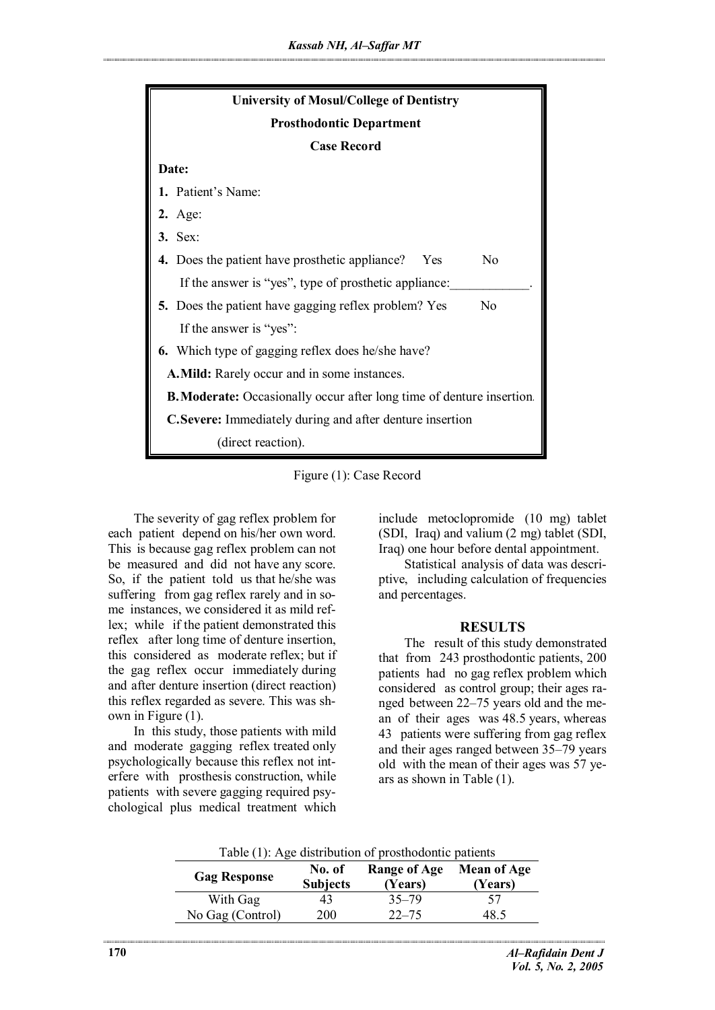

Figure (1): Case Record

The severity of gag reflex problem for each patient depend on his/her own word. This is because gag reflex problem can not be measured and did not have any score. So, if the patient told us that he/she was suffering from gag reflex rarely and in some instances, we considered it as mild reflex; while if the patient demonstrated this reflex after long time of denture insertion, this considered as moderate reflex; but if the gag reflex occur immediately during and after denture insertion (direct reaction) this reflex regarded as severe. This was shown in Figure (1).

In this study, those patients with mild and moderate gagging reflex treated only psychologically because this reflex not interfere with prosthesis construction, while patients with severe gagging required psychological plus medical treatment which

include metoclopromide (10 mg) tablet (SDI, Iraq) and valium (2 mg) tablet (SDI, Iraq) one hour before dental appointment.

Statistical analysis of data was descriptive, including calculation of frequencies and percentages.

### **RESULTS**

The result of this study demonstrated that from 243 prosthodontic patients, 200 patients had no gag reflex problem which considered as control group; their ages ranged between 22–75 years old and the mean of their ages was 48.5 years, whereas 43 patients were suffering from gag reflex and their ages ranged between 35–79 years old with the mean of their ages was 57 years as shown in Table (1).

| Table (1): Age distribution of prosthodontic patients |                           |                                |                               |
|-------------------------------------------------------|---------------------------|--------------------------------|-------------------------------|
| <b>Gag Response</b>                                   | No. of<br><b>Subjects</b> | <b>Range of Age</b><br>(Years) | <b>Mean of Age</b><br>(Years) |
| With Gag                                              | 43                        | $35 - 79$                      | 57                            |
| No Gag (Control)                                      | 200                       | $22 - 75$                      | 48 5                          |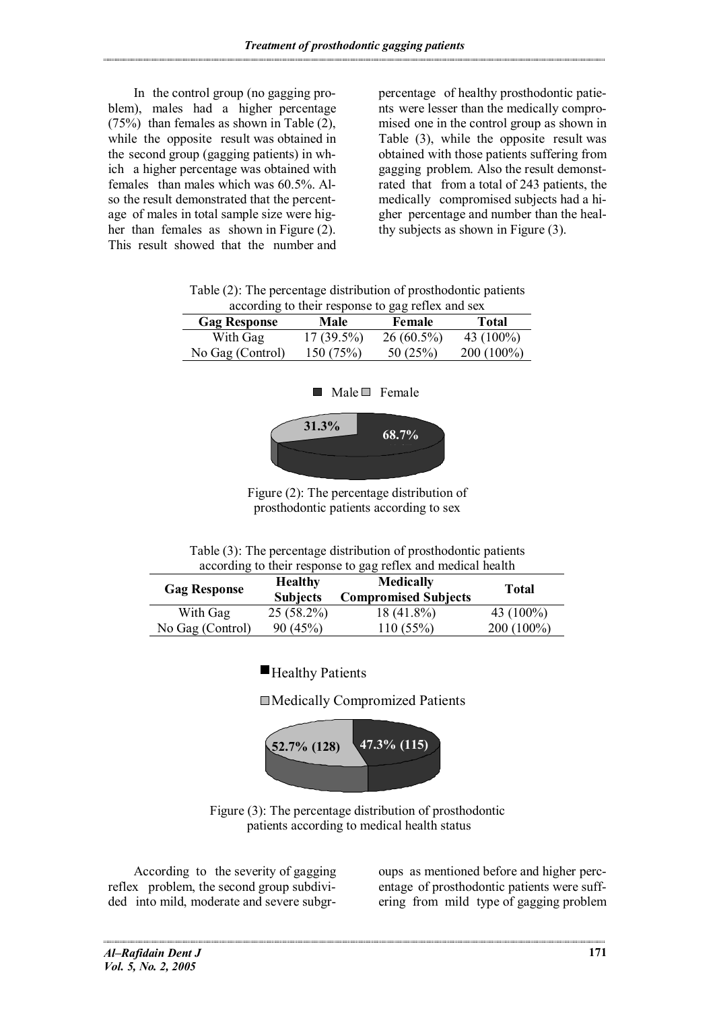In the control group (no gagging problem), males had a higher percentage  $(75%)$  than females as shown in Table  $(2)$ , while the opposite result was obtained in the second group (gagging patients) in which a higher percentage was obtained with females than males which was 60.5%. Also the result demonstrated that the percentage of males in total sample size were higher than females as shown in Figure (2). This result showed that the number and percentage of healthy prosthodontic patients were lesser than the medically compromised one in the control group as shown in Table (3), while the opposite result was obtained with those patients suffering from gagging problem. Also the result demonstrated that from a total of 243 patients, the medically compromised subjects had a higher percentage and number than the healthy subjects as shown in Figure (3).

| according to their response to gag reflex and sex |              |              |              |
|---------------------------------------------------|--------------|--------------|--------------|
| <b>Gag Response</b>                               | Male         | Female       | <b>Total</b> |
| With Gag                                          | $17(39.5\%)$ | $26(60.5\%)$ | 43 $(100\%)$ |
| No Gag (Control)                                  | 150(75%)     | 50(25%)      | $200(100\%)$ |

Table (2): The percentage distribution of prosthodontic patients

| With Gag         | $17(39.5\%)$                              | $26(60.5\%)$ | 43 $(100\%)$ |
|------------------|-------------------------------------------|--------------|--------------|
| No Gag (Control) | 150(75%)                                  | 50 $(25%)$   | $200(100\%)$ |
|                  |                                           |              |              |
|                  |                                           |              |              |
|                  | $\blacksquare$ Male $\blacksquare$ Female |              |              |



Figure (2): The percentage distribution of prosthodontic patients according to sex

| Table (3): The percentage distribution of prosthodontic patients |  |  |
|------------------------------------------------------------------|--|--|
| according to their response to gag reflex and medical health     |  |  |

| <b>Gag Response</b> | <b>Healthy</b><br><b>Subjects</b> | <b>Medically</b><br><b>Compromised Subjects</b> | Total        |
|---------------------|-----------------------------------|-------------------------------------------------|--------------|
| With Gag            | $25(58.2\%)$                      | 18 (41.8%)                                      | 43 $(100\%)$ |
| No Gag (Control)    | 90(45%)                           | 110(55%)                                        | $200(100\%)$ |

Healthy Patients

Medically Compromized Patients



Figure (3): The percentage distribution of prosthodontic patients according to medical health status

According to the severity of gagging reflex problem, the second group subdivided into mild, moderate and severe subgroups as mentioned before and higher percentage of prosthodontic patients were suffering from mild type of gagging problem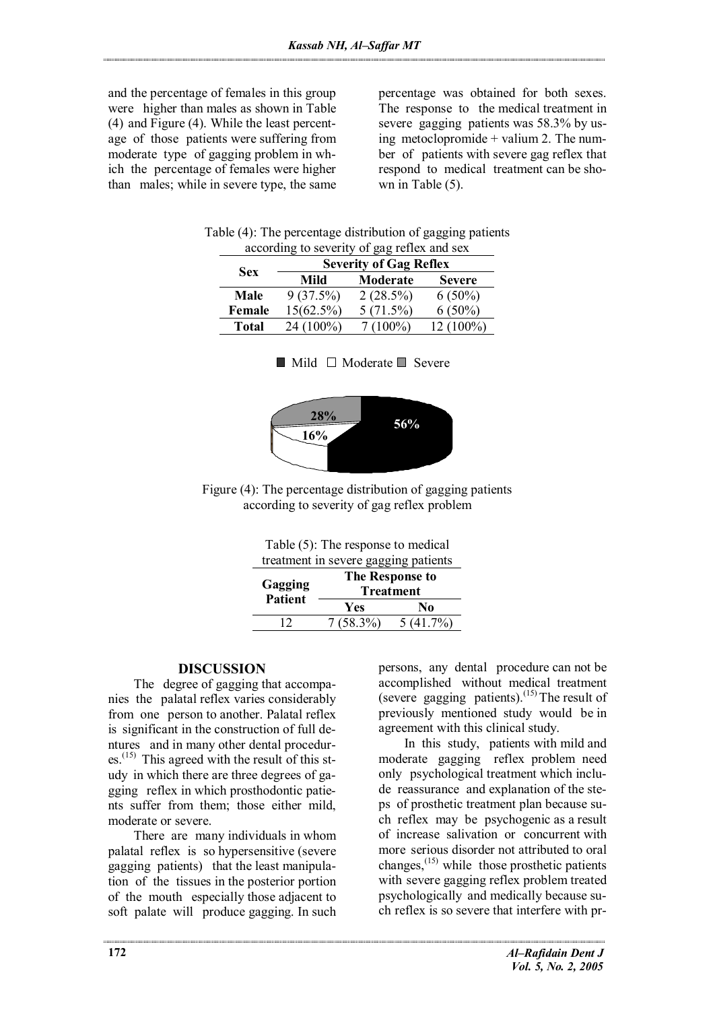and the percentage of females in this group were higher than males as shown in Table (4) and Figure (4). While the least percentage of those patients were suffering from moderate type of gagging problem in which the percentage of females were higher than males; while in severe type, the same percentage was obtained for both sexes. The response to the medical treatment in severe gagging patients was 58.3% by using metoclopromide + valium 2. The number of patients with severe gag reflex that respond to medical treatment can be shown in Table  $(5)$ .

| according to severity of gag reflex and sex |                               |             |               |
|---------------------------------------------|-------------------------------|-------------|---------------|
| <b>Sex</b>                                  | <b>Severity of Gag Reflex</b> |             |               |
|                                             | Mild                          | Moderate    | <b>Severe</b> |
| Male                                        | 9(37.5%)                      | $2(28.5\%)$ | $6(50\%)$     |
| Female                                      | $15(62.5\%)$                  | 5(71.5%)    | $6(50\%)$     |
| <b>Total</b>                                | 24 (100%)                     | $7(100\%)$  | 12 (100%)     |

| Table (4): The percentage distribution of gagging patients |
|------------------------------------------------------------|
| according to severity of gag reflex and sex                |

|  | $\blacksquare$ Mild $\square$ Moderate $\square$ Severe |  |
|--|---------------------------------------------------------|--|
|  |                                                         |  |





Table (5): The response to medical treatment in severe gagging patients

| Gagging<br><b>Patient</b> | The Response to<br><b>Treatment</b> |          |  |
|---------------------------|-------------------------------------|----------|--|
|                           | Yes                                 | No       |  |
| 12                        | $7(58.3\%)$                         | 5(41.7%) |  |

## **DISCUSSION**

The degree of gagging that accompanies the palatal reflex varies considerably from one person to another. Palatal reflex is significant in the construction of full dentures and in many other dental procedur $es<sup>(15)</sup>$  This agreed with the result of this study in which there are three degrees of gagging reflex in which prosthodontic patients suffer from them; those either mild, moderate or severe.

There are many individuals in whom palatal reflex is so hypersensitive (severe gagging patients) that the least manipulation of the tissues in the posterior portion of the mouth especially those adjacent to soft palate will produce gagging. In such persons, any dental procedure can not be accomplished without medical treatment (severe gagging patients).<sup>(15)</sup> The result of previously mentioned study would be in agreement with this clinical study.

In this study, patients with mild and moderate gagging reflex problem need only psychological treatment which include reassurance and explanation of the steps of prosthetic treatment plan because such reflex may be psychogenic as a result of increase salivation or concurrent with more serious disorder not attributed to oral changes, $^{(15)}$  while those prosthetic patients with severe gagging reflex problem treated psychologically and medically because such reflex is so severe that interfere with pr